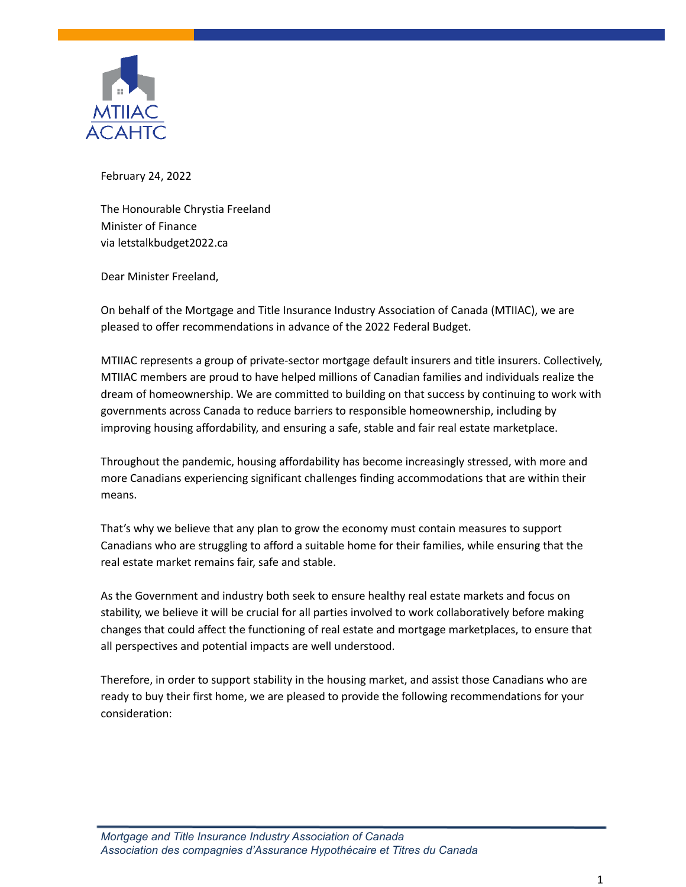

February 24, 2022

The Honourable Chrystia Freeland Minister of Finance via letstalkbudget2022.ca

Dear Minister Freeland,

On behalf of the Mortgage and Title Insurance Industry Association of Canada (MTIIAC), we are pleased to offer recommendations in advance of the 2022 Federal Budget.

MTIIAC represents a group of private-sector mortgage default insurers and title insurers. Collectively, MTIIAC members are proud to have helped millions of Canadian families and individuals realize the dream of homeownership. We are committed to building on that success by continuing to work with governments across Canada to reduce barriers to responsible homeownership, including by improving housing affordability, and ensuring a safe, stable and fair real estate marketplace.

Throughout the pandemic, housing affordability has become increasingly stressed, with more and more Canadians experiencing significant challenges finding accommodations that are within their means.

That's why we believe that any plan to grow the economy must contain measures to support Canadians who are struggling to afford a suitable home for their families, while ensuring that the real estate market remains fair, safe and stable.

As the Government and industry both seek to ensure healthy real estate markets and focus on stability, we believe it will be crucial for all parties involved to work collaboratively before making changes that could affect the functioning of real estate and mortgage marketplaces, to ensure that all perspectives and potential impacts are well understood.

Therefore, in order to support stability in the housing market, and assist those Canadians who are ready to buy their first home, we are pleased to provide the following recommendations for your consideration: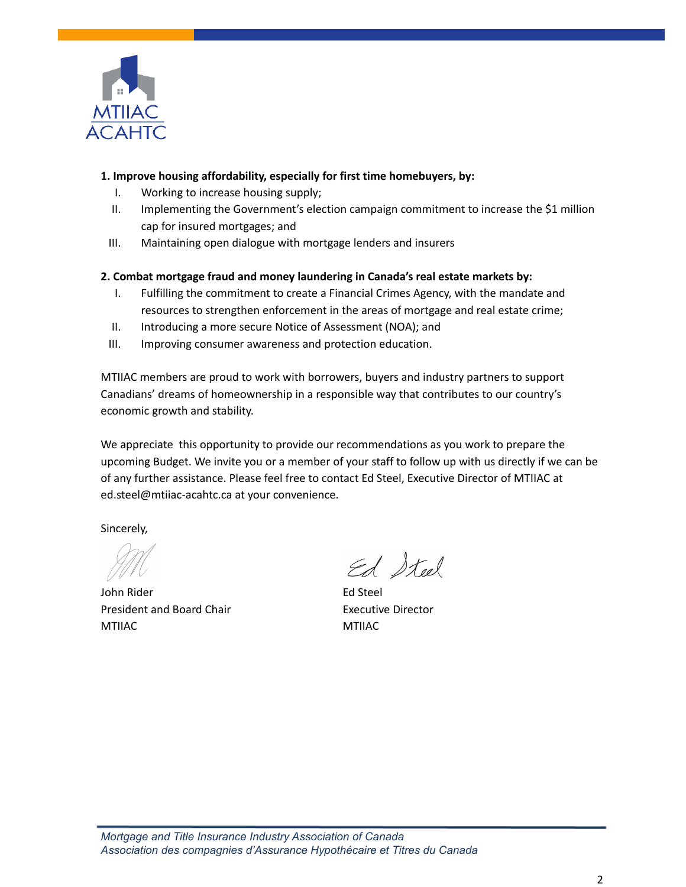

### **1. Improve housing affordability, especially for first time homebuyers, by:**

- I. Working to increase housing supply;
- II. Implementing the Government's election campaign commitment to increase the \$1 million cap for insured mortgages; and
- III. Maintaining open dialogue with mortgage lenders and insurers

### **2. Combat mortgage fraud and money laundering in Canada's real estate markets by:**

- I. Fulfilling the commitment to create a Financial Crimes Agency, with the mandate and resources to strengthen enforcement in the areas of mortgage and real estate crime;
- II. Introducing a more secure Notice of Assessment (NOA); and
- III. Improving consumer awareness and protection education.

MTIIAC members are proud to work with borrowers, buyers and industry partners to support Canadians' dreams of homeownership in a responsible way that contributes to our country's economic growth and stability.

We appreciate this opportunity to provide our recommendations as you work to prepare the upcoming Budget. We invite you or a member of your staff to follow up with us directly if we can be of any further assistance. Please feel free to contact Ed Steel, Executive Director of MTIIAC at ed.steel@mtiiac-acahtc.ca at your convenience.

Sincerely,

John Rider Ed Steel President and Board Chair **Executive Director** MTIIAC MTIIAC

Ed Steel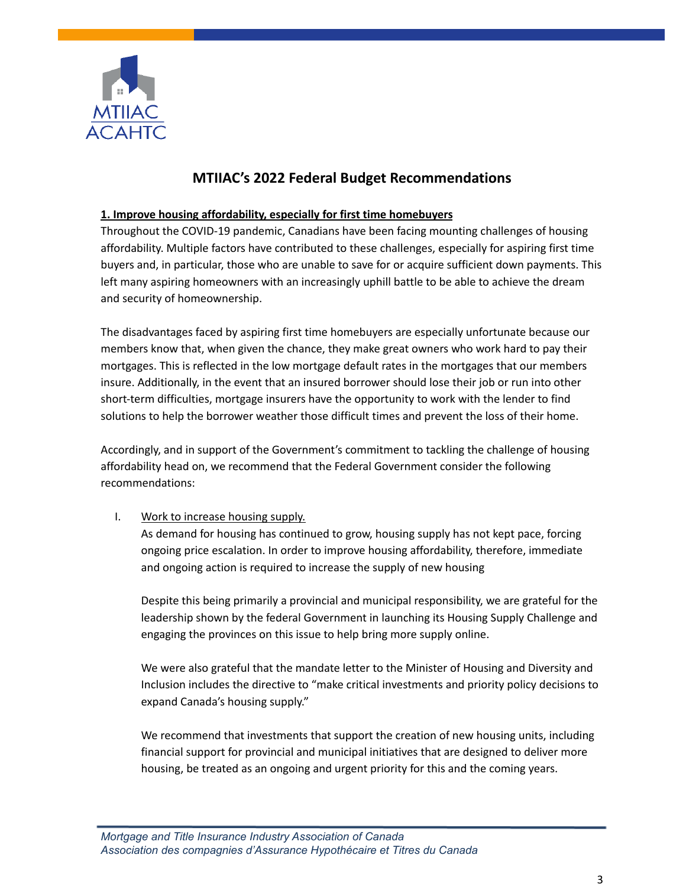

# **MTIIAC's 2022 Federal Budget Recommendations**

#### **1. Improve housing affordability, especially for first time homebuyers**

Throughout the COVID-19 pandemic, Canadians have been facing mounting challenges of housing affordability. Multiple factors have contributed to these challenges, especially for aspiring first time buyers and, in particular, those who are unable to save for or acquire sufficient down payments. This left many aspiring homeowners with an increasingly uphill battle to be able to achieve the dream and security of homeownership.

The disadvantages faced by aspiring first time homebuyers are especially unfortunate because our members know that, when given the chance, they make great owners who work hard to pay their mortgages. This is reflected in the low mortgage default rates in the mortgages that our members insure. Additionally, in the event that an insured borrower should lose their job or run into other short-term difficulties, mortgage insurers have the opportunity to work with the lender to find solutions to help the borrower weather those difficult times and prevent the loss of their home.

Accordingly, and in support of the Government's commitment to tackling the challenge of housing affordability head on, we recommend that the Federal Government consider the following recommendations:

### I. Work to increase housing supply.

As demand for housing has continued to grow, housing supply has not kept pace, forcing ongoing price escalation. In order to improve housing affordability, therefore, immediate and ongoing action is required to increase the supply of new housing

Despite this being primarily a provincial and municipal responsibility, we are grateful for the leadership shown by the federal Government in launching its Housing Supply Challenge and engaging the provinces on this issue to help bring more supply online.

We were also grateful that the mandate letter to the Minister of Housing and Diversity and Inclusion includes the directive to "make critical investments and priority policy decisions to expand Canada's housing supply."

We recommend that investments that support the creation of new housing units, including financial support for provincial and municipal initiatives that are designed to deliver more housing, be treated as an ongoing and urgent priority for this and the coming years.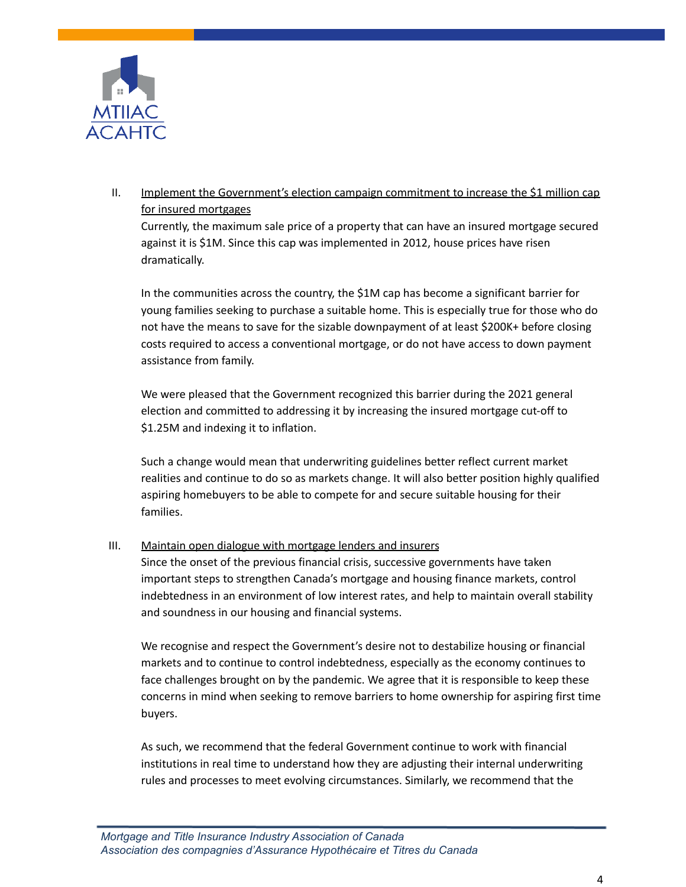

# II. Implement the Government's election campaign commitment to increase the \$1 million cap for insured mortgages

Currently, the maximum sale price of a property that can have an insured mortgage secured against it is \$1M. Since this cap was implemented in 2012, house prices have risen dramatically.

In the communities across the country, the \$1M cap has become a significant barrier for young families seeking to purchase a suitable home. This is especially true for those who do not have the means to save for the sizable downpayment of at least \$200K+ before closing costs required to access a conventional mortgage, or do not have access to down payment assistance from family.

We were pleased that the Government recognized this barrier during the 2021 general election and committed to addressing it by increasing the insured mortgage cut-off to \$1.25M and indexing it to inflation.

Such a change would mean that underwriting guidelines better reflect current market realities and continue to do so as markets change. It will also better position highly qualified aspiring homebuyers to be able to compete for and secure suitable housing for their families.

### III. Maintain open dialogue with mortgage lenders and insurers

Since the onset of the previous financial crisis, successive governments have taken important steps to strengthen Canada's mortgage and housing finance markets, control indebtedness in an environment of low interest rates, and help to maintain overall stability and soundness in our housing and financial systems.

We recognise and respect the Government's desire not to destabilize housing or financial markets and to continue to control indebtedness, especially as the economy continues to face challenges brought on by the pandemic. We agree that it is responsible to keep these concerns in mind when seeking to remove barriers to home ownership for aspiring first time buyers.

As such, we recommend that the federal Government continue to work with financial institutions in real time to understand how they are adjusting their internal underwriting rules and processes to meet evolving circumstances. Similarly, we recommend that the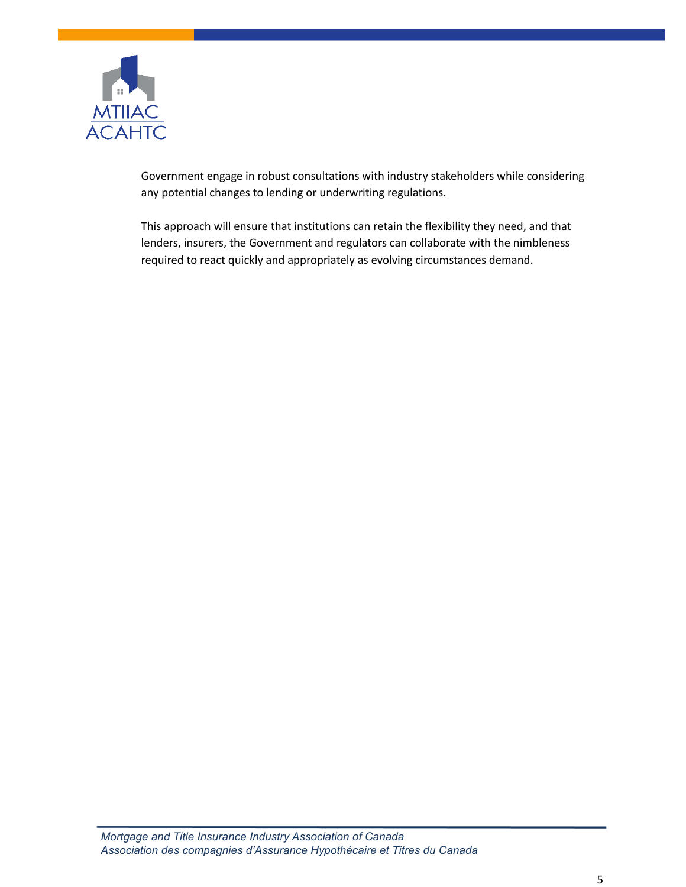

Government engage in robust consultations with industry stakeholders while considering any potential changes to lending or underwriting regulations.

This approach will ensure that institutions can retain the flexibility they need, and that lenders, insurers, the Government and regulators can collaborate with the nimbleness required to react quickly and appropriately as evolving circumstances demand.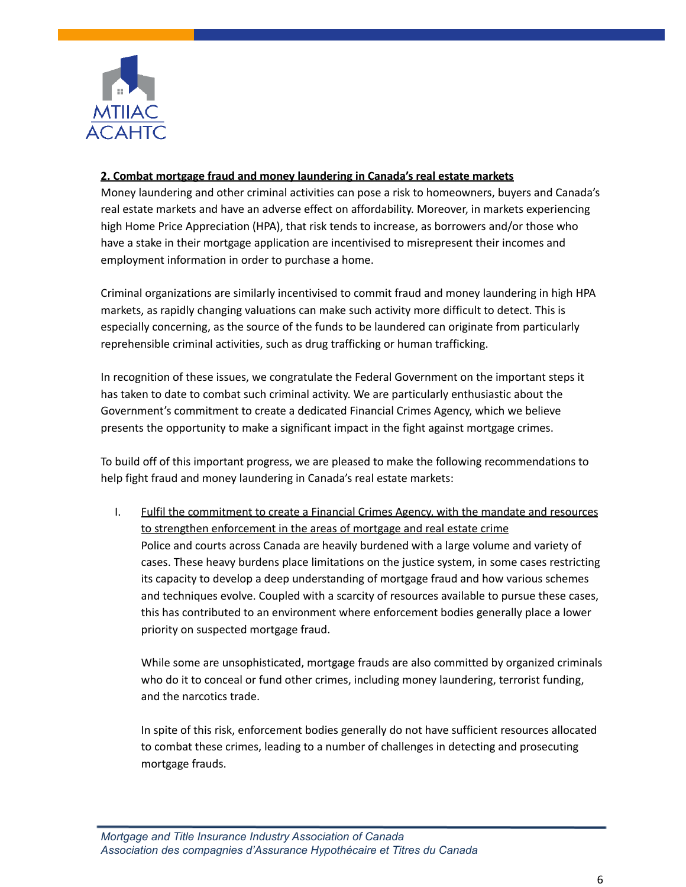

### **2. Combat mortgage fraud and money laundering in Canada's real estate markets**

Money laundering and other criminal activities can pose a risk to homeowners, buyers and Canada's real estate markets and have an adverse effect on affordability. Moreover, in markets experiencing high Home Price Appreciation (HPA), that risk tends to increase, as borrowers and/or those who have a stake in their mortgage application are incentivised to misrepresent their incomes and employment information in order to purchase a home.

Criminal organizations are similarly incentivised to commit fraud and money laundering in high HPA markets, as rapidly changing valuations can make such activity more difficult to detect. This is especially concerning, as the source of the funds to be laundered can originate from particularly reprehensible criminal activities, such as drug trafficking or human trafficking.

In recognition of these issues, we congratulate the Federal Government on the important steps it has taken to date to combat such criminal activity. We are particularly enthusiastic about the Government's commitment to create a dedicated Financial Crimes Agency, which we believe presents the opportunity to make a significant impact in the fight against mortgage crimes.

To build off of this important progress, we are pleased to make the following recommendations to help fight fraud and money laundering in Canada's real estate markets:

I. Fulfil the commitment to create a Financial Crimes Agency, with the mandate and resources to strengthen enforcement in the areas of mortgage and real estate crime Police and courts across Canada are heavily burdened with a large volume and variety of cases. These heavy burdens place limitations on the justice system, in some cases restricting its capacity to develop a deep understanding of mortgage fraud and how various schemes and techniques evolve. Coupled with a scarcity of resources available to pursue these cases, this has contributed to an environment where enforcement bodies generally place a lower priority on suspected mortgage fraud.

While some are unsophisticated, mortgage frauds are also committed by organized criminals who do it to conceal or fund other crimes, including money laundering, terrorist funding, and the narcotics trade.

In spite of this risk, enforcement bodies generally do not have sufficient resources allocated to combat these crimes, leading to a number of challenges in detecting and prosecuting mortgage frauds.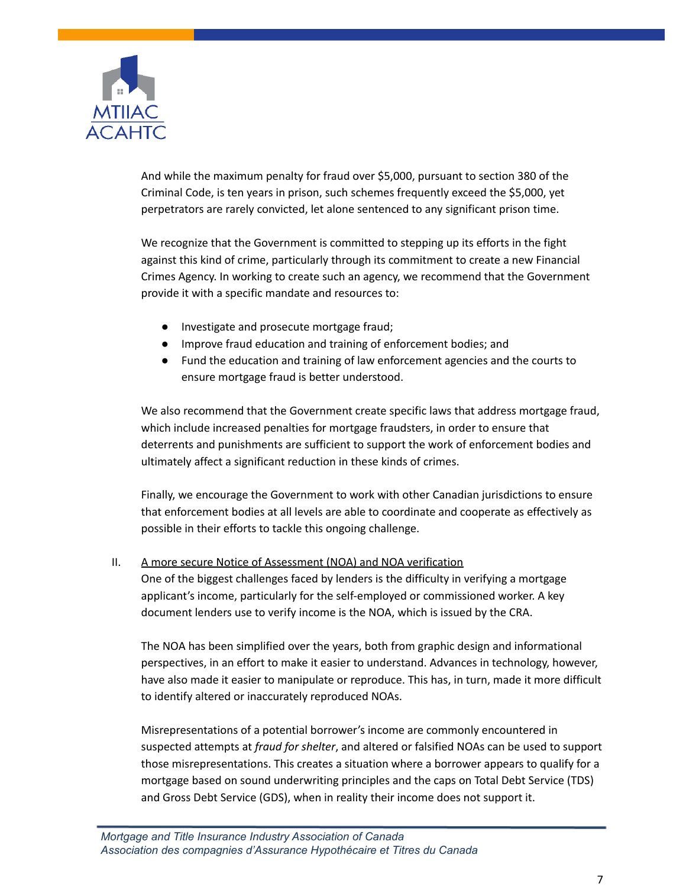

And while the maximum penalty for fraud over \$5,000, pursuant to section 380 of the Criminal Code, is ten years in prison, such schemes frequently exceed the \$5,000, yet perpetrators are rarely convicted, let alone sentenced to any significant prison time.

We recognize that the Government is committed to stepping up its efforts in the fight against this kind of crime, particularly through its commitment to create a new Financial Crimes Agency. In working to create such an agency, we recommend that the Government provide it with a specific mandate and resources to:

- Investigate and prosecute mortgage fraud;
- Improve fraud education and training of enforcement bodies; and
- Fund the education and training of law enforcement agencies and the courts to ensure mortgage fraud is better understood.

We also recommend that the Government create specific laws that address mortgage fraud, which include increased penalties for mortgage fraudsters, in order to ensure that deterrents and punishments are sufficient to support the work of enforcement bodies and ultimately affect a significant reduction in these kinds of crimes.

Finally, we encourage the Government to work with other Canadian jurisdictions to ensure that enforcement bodies at all levels are able to coordinate and cooperate as effectively as possible in their efforts to tackle this ongoing challenge.

### II. A more secure Notice of Assessment (NOA) and NOA verification

One of the biggest challenges faced by lenders is the difficulty in verifying a mortgage applicant's income, particularly for the self-employed or commissioned worker. A key document lenders use to verify income is the NOA, which is issued by the CRA.

The NOA has been simplified over the years, both from graphic design and informational perspectives, in an effort to make it easier to understand. Advances in technology, however, have also made it easier to manipulate or reproduce. This has, in turn, made it more difficult to identify altered or inaccurately reproduced NOAs.

Misrepresentations of a potential borrower's income are commonly encountered in suspected attempts at *fraud for shelter*, and altered or falsified NOAs can be used to support those misrepresentations. This creates a situation where a borrower appears to qualify for a mortgage based on sound underwriting principles and the caps on Total Debt Service (TDS) and Gross Debt Service (GDS), when in reality their income does not support it.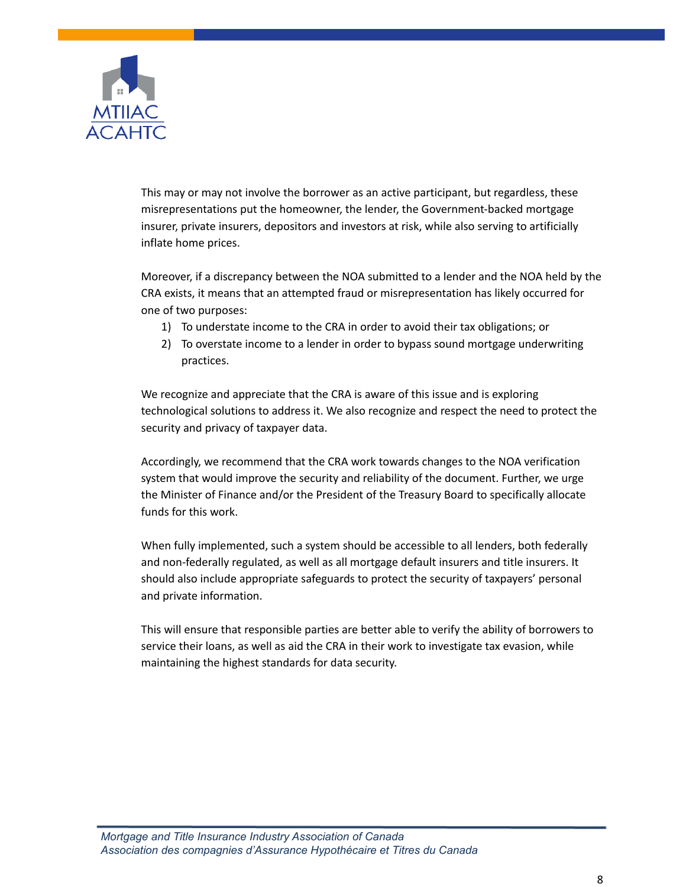

This may or may not involve the borrower as an active participant, but regardless, these misrepresentations put the homeowner, the lender, the Government-backed mortgage insurer, private insurers, depositors and investors at risk, while also serving to artificially inflate home prices.

Moreover, if a discrepancy between the NOA submitted to a lender and the NOA held by the CRA exists, it means that an attempted fraud or misrepresentation has likely occurred for one of two purposes:

- 1) To understate income to the CRA in order to avoid their tax obligations; or
- 2) To overstate income to a lender in order to bypass sound mortgage underwriting practices.

We recognize and appreciate that the CRA is aware of this issue and is exploring technological solutions to address it. We also recognize and respect the need to protect the security and privacy of taxpayer data.

Accordingly, we recommend that the CRA work towards changes to the NOA verification system that would improve the security and reliability of the document. Further, we urge the Minister of Finance and/or the President of the Treasury Board to specifically allocate funds for this work.

When fully implemented, such a system should be accessible to all lenders, both federally and non-federally regulated, as well as all mortgage default insurers and title insurers. It should also include appropriate safeguards to protect the security of taxpayers' personal and private information.

This will ensure that responsible parties are better able to verify the ability of borrowers to service their loans, as well as aid the CRA in their work to investigate tax evasion, while maintaining the highest standards for data security.